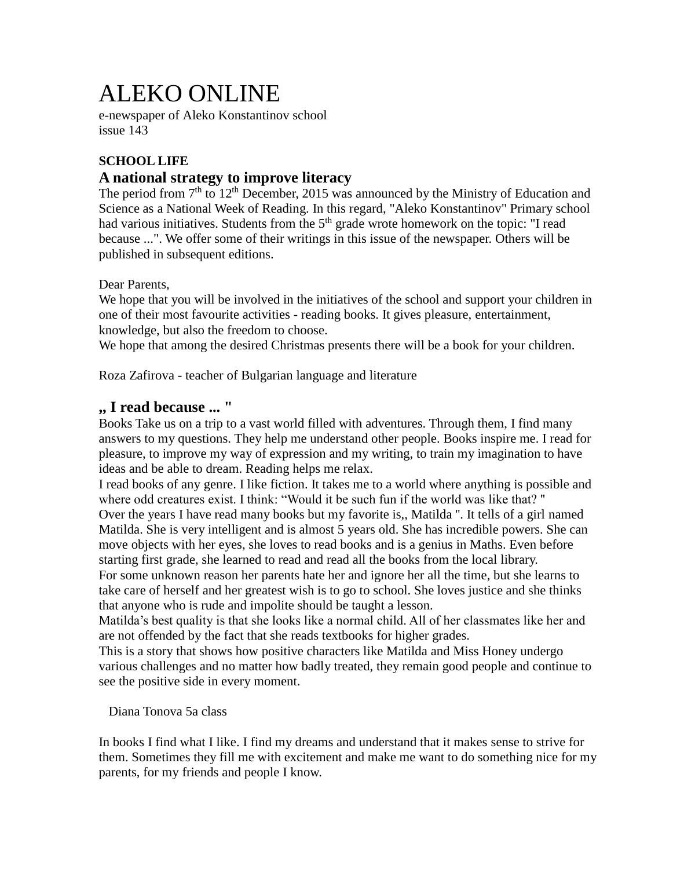# ALEKO ONLINE

e-newspaper of Aleko Konstantinov school issue 143

# **SCHOOL LIFE**

# **A national strategy to improve literacy**

The period from  $7<sup>th</sup>$  to  $12<sup>th</sup>$  December, 2015 was announced by the Ministry of Education and Science as a National Week of Reading. In this regard, "Aleko Konstantinov" Primary school had various initiatives. Students from the  $5<sup>th</sup>$  grade wrote homework on the topic: "I read because ...". We offer some of their writings in this issue of the newspaper. Others will be published in subsequent editions.

Dear Parents,

We hope that you will be involved in the initiatives of the school and support your children in one of their most favourite activities - reading books. It gives pleasure, entertainment, knowledge, but also the freedom to choose.

We hope that among the desired Christmas presents there will be a book for your children.

Roza Zafirova - teacher of Bulgarian language and literature

# **,, I read because ... "**

Books Take us on a trip to a vast world filled with adventures. Through them, I find many answers to my questions. They help me understand other people. Books inspire me. I read for pleasure, to improve my way of expression and my writing, to train my imagination to have ideas and be able to dream. Reading helps me relax.

I read books of any genre. I like fiction. It takes me to a world where anything is possible and where odd creatures exist. I think: "Would it be such fun if the world was like that? ''

Over the years I have read many books but my favorite is,, Matilda ''. It tells of a girl named Matilda. She is very intelligent and is almost 5 years old. She has incredible powers. She can move objects with her eyes, she loves to read books and is a genius in Maths. Even before starting first grade, she learned to read and read all the books from the local library.

For some unknown reason her parents hate her and ignore her all the time, but she learns to take care of herself and her greatest wish is to go to school. She loves justice and she thinks that anyone who is rude and impolite should be taught a lesson.

Matilda's best quality is that she looks like a normal child. All of her classmates like her and are not offended by the fact that she reads textbooks for higher grades.

This is a story that shows how positive characters like Matilda and Miss Honey undergo various challenges and no matter how badly treated, they remain good people and continue to see the positive side in every moment.

Diana Tonova 5a class

In books I find what I like. I find my dreams and understand that it makes sense to strive for them. Sometimes they fill me with excitement and make me want to do something nice for my parents, for my friends and people I know.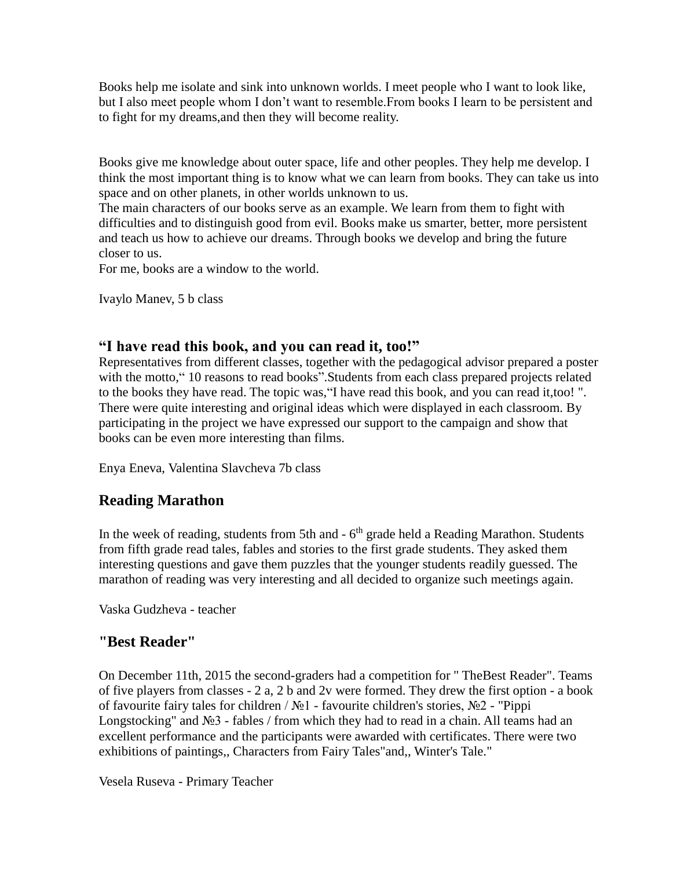Books help me isolate and sink into unknown worlds. I meet people who I want to look like, but I also meet people whom I don't want to resemble.From books I learn to be persistent and to fight for my dreams,and then they will become reality.

Books give me knowledge about outer space, life and other peoples. They help me develop. I think the most important thing is to know what we can learn from books. They can take us into space and on other planets, in other worlds unknown to us.

The main characters of our books serve as an example. We learn from them to fight with difficulties and to distinguish good from evil. Books make us smarter, better, more persistent and teach us how to achieve our dreams. Through books we develop and bring the future closer to us.

For me, books are a window to the world.

Ivaylo Manev, 5 b class

## **"I have read this book, and you can read it, too!"**

Representatives from different classes, together with the pedagogical advisor prepared a poster with the motto," 10 reasons to read books". Students from each class prepared projects related to the books they have read. The topic was,"I have read this book, and you can read it,too! ". There were quite interesting and original ideas which were displayed in each classroom. By participating in the project we have expressed our support to the campaign and show that books can be even more interesting than films.

Enya Eneva, Valentina Slavcheva 7b class

# **Reading Marathon**

In the week of reading, students from 5th and  $-6<sup>th</sup>$  grade held a Reading Marathon. Students from fifth grade read tales, fables and stories to the first grade students. They asked them interesting questions and gave them puzzles that the younger students readily guessed. The marathon of reading was very interesting and all decided to organize such meetings again.

Vaska Gudzheva - teacher

# **"Best Reader"**

On December 11th, 2015 the second-graders had a competition for " TheBest Reader". Teams of five players from classes - 2 a, 2 b and 2v were formed. They drew the first option - a book of favourite fairy tales for children / №1 - favourite children's stories, №2 - "Pippi Longstocking" and №3 - fables / from which they had to read in a chain. All teams had an excellent performance and the participants were awarded with certificates. There were two exhibitions of paintings,, Characters from Fairy Tales"and,, Winter's Tale."

Vesela Ruseva - Primary Teacher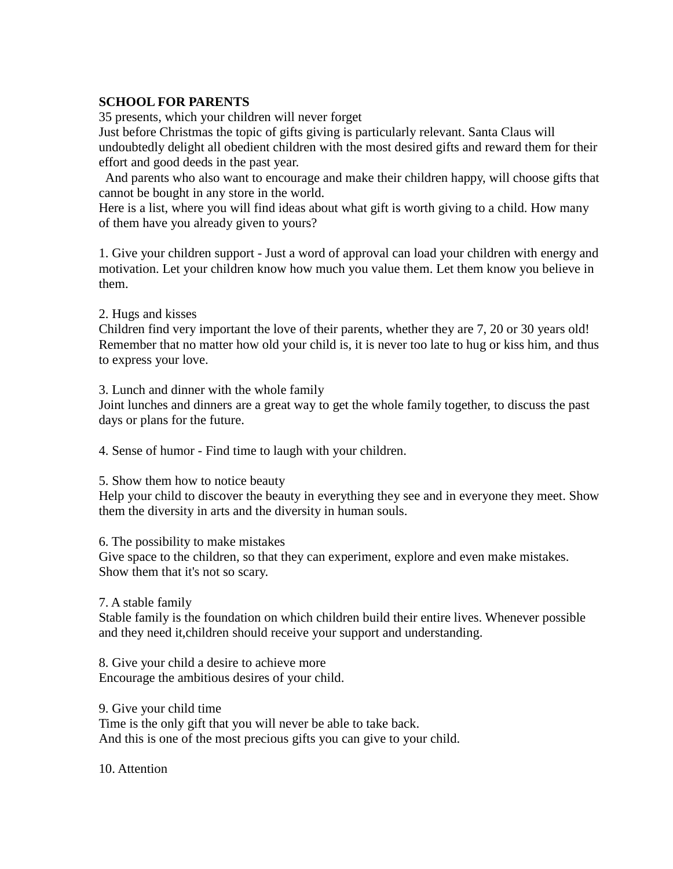## **SCHOOL FOR PARENTS**

35 presents, which your children will never forget

Just before Christmas the topic of gifts giving is particularly relevant. Santa Claus will undoubtedly delight all obedient children with the most desired gifts and reward them for their effort and good deeds in the past year.

And parents who also want to encourage and make their children happy, will choose gifts that cannot be bought in any store in the world.

Here is a list, where you will find ideas about what gift is worth giving to a child. How many of them have you already given to yours?

1. Give your children support - Just a word of approval can load your children with energy and motivation. Let your children know how much you value them. Let them know you believe in them.

2. Hugs and kisses

Children find very important the love of their parents, whether they are 7, 20 or 30 years old! Remember that no matter how old your child is, it is never too late to hug or kiss him, and thus to express your love.

3. Lunch and dinner with the whole family

Joint lunches and dinners are a great way to get the whole family together, to discuss the past days or plans for the future.

4. Sense of humor - Find time to laugh with your children.

5. Show them how to notice beauty

Help your child to discover the beauty in everything they see and in everyone they meet. Show them the diversity in arts and the diversity in human souls.

6. The possibility to make mistakes

Give space to the children, so that they can experiment, explore and even make mistakes. Show them that it's not so scary.

7. A stable family

Stable family is the foundation on which children build their entire lives. Whenever possible and they need it,children should receive your support and understanding.

8. Give your child a desire to achieve more Encourage the ambitious desires of your child.

9. Give your child time

Time is the only gift that you will never be able to take back. And this is one of the most precious gifts you can give to your child.

10. Attention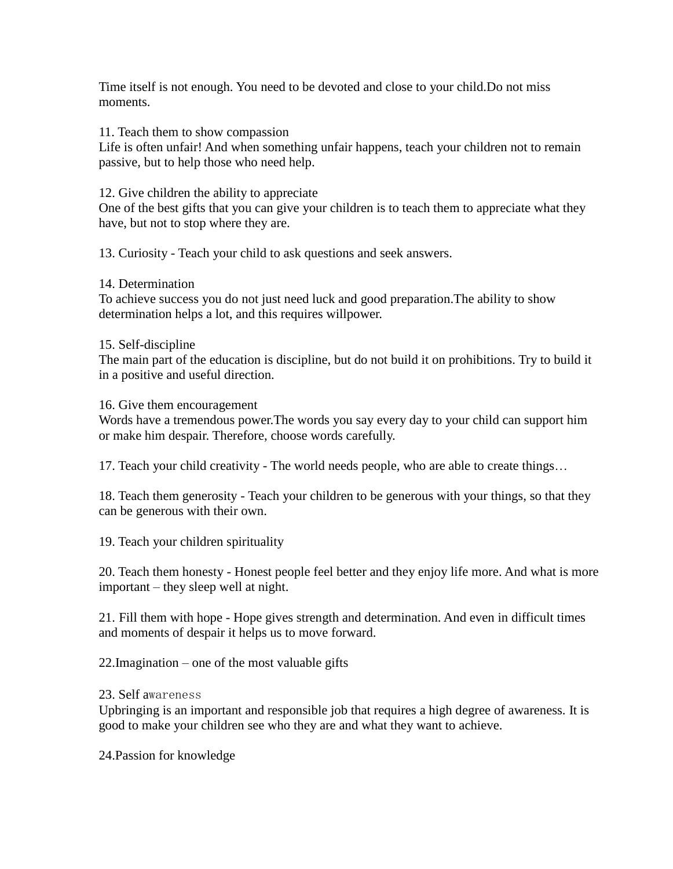Time itself is not enough. You need to be devoted and close to your child.Do not miss moments.

11. Teach them to show compassion

Life is often unfair! And when something unfair happens, teach your children not to remain passive, but to help those who need help.

12. Give children the ability to appreciate

One of the best gifts that you can give your children is to teach them to appreciate what they have, but not to stop where they are.

13. Curiosity - Teach your child to ask questions and seek answers.

14. Determination

To achieve success you do not just need luck and good preparation.The ability to show determination helps a lot, and this requires willpower.

#### 15. Self-discipline

The main part of the education is discipline, but do not build it on prohibitions. Try to build it in a positive and useful direction.

#### 16. Give them encouragement

Words have a tremendous power.The words you say every day to your child can support him or make him despair. Therefore, choose words carefully.

17. Teach your child creativity - The world needs people, who are able to create things…

18. Teach them generosity - Teach your children to be generous with your things, so that they can be generous with their own.

19. Teach your children spirituality

20. Teach them honesty - Honest people feel better and they enjoy life more. And what is more important – they sleep well at night.

21. Fill them with hope - Hope gives strength and determination. And even in difficult times and moments of despair it helps us to move forward.

22.Imagination – one of the most valuable gifts

#### 23. Self awareness

Upbringing is an important and responsible job that requires a high degree of awareness. It is good to make your children see who they are and what they want to achieve.

24.Passion for knowledge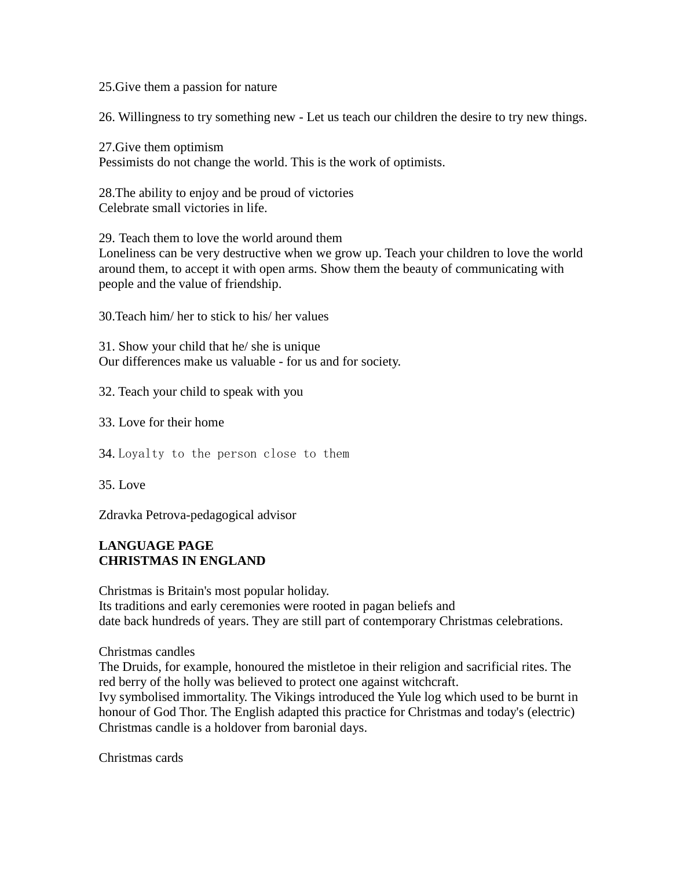25.Give them a passion for nature

26. Willingness to try something new - Let us teach our children the desire to try new things.

27.Give them optimism Pessimists do not change the world. This is the work of optimists.

28.The ability to enjoy and be proud of victories Celebrate small victories in life.

29. Teach them to love the world around them Loneliness can be very destructive when we grow up. Teach your children to love the world around them, to accept it with open arms. Show them the beauty of communicating with people and the value of friendship.

30.Teach him/ her to stick to his/ her values

31. Show your child that he/ she is unique Our differences make us valuable - for us and for society.

32. Teach your child to speak with you

33. Love for their home

34. Loyalty to the person close to them

35. Love

Zdravka Petrova-pedagogical advisor

## **LANGUAGE PAGE CHRISTMAS IN ENGLAND**

Christmas is Britain's most popular holiday. Its traditions and early ceremonies were rooted in pagan beliefs and date back hundreds of years. They are still part of contemporary Christmas celebrations.

Christmas candles

The Druids, for example, honoured the mistletoe in their religion and sacrificial rites. The red berry of the holly was believed to protect one against witchcraft.

Ivy symbolised immortality. The Vikings introduced the Yule log which used to be burnt in honour of God Thor. The English adapted this practice for Christmas and today's (electric) Christmas candle is a holdover from baronial days.

Christmas cards